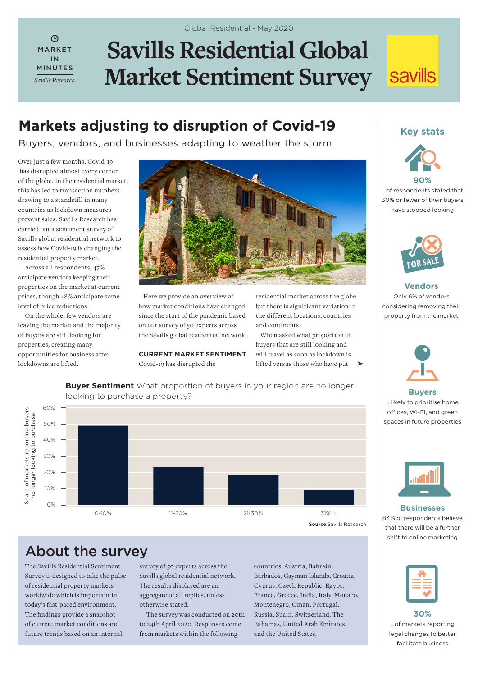$\Omega$ MARKET IN MINUTES *Savills Research*

# **Savills Residential Global Market Sentiment Survey**

## **Markets adjusting to disruption of Covid-19** Key stats

Buyers, vendors, and businesses adapting to weather the storm

Over just a few months, Covid-19 has disrupted almost every corner of the globe. In the residential market, this has led to transaction numbers drawing to a standstill in many countries as lockdown measures prevent sales. Savills Research has carried out a sentiment survey of Savills global residential network to assess how Covid-19 is changing the residential property market.

Across all respondents, 47% anticipate vendors keeping their properties on the market at current prices, though 48% anticipate some level of price reductions.

On the whole, few vendors are leaving the market and the majority of buyers are still looking for properties, creating many opportunities for business after lockdowns are lifted.



 Here we provide an overview of how market conditions have changed since the start of the pandemic based on our survey of 50 experts across the Savills global residential network.

**CURRENT MARKET SENTIMENT** Covid-19 has disrupted the

**Buyer Sentiment** What proportion of buyers in your region are no longer

residential market across the globe but there is significant variation in the different locations, countries and continents.

 When asked what proportion of buyers that are still looking and will travel as soon as lockdown is lifted versus those who have put ➤

looking to purchase a property? 60% Share of markets reporting buyers<br>no longer looking to purchase Share of markets reporting buyers no longer looking to purchase 50% 40% 30% 20% 10% 0% 0-10% 11-20% 21-30% 31% +

**Source** Savills Research

### About the survey

The Savills Residential Sentiment Survey is designed to take the pulse of residential property markets worldwide which is important in today's fast-paced environment. The findings provide a snapshot of current market conditions and future trends based on an internal

survey of 50 experts across the Savills global residential network. The results displayed are an aggregate of all replies, unless otherwise stated.

The survey was conducted on 20th to 24th April 2020. Responses come from markets within the following

countries: Austria, Bahrain, Barbados, Cayman Islands, Croatia, Cyprus, Czech Republic, Egypt, France, Greece, India, Italy, Monaco, Montenegro, Oman, Portugal, Russia, Spain, Switzerland, The Bahamas, United Arab Emirates, and the United States.



…of respondents stated that 30% or fewer of their buyers have stopped looking



**Vendors** Only 6% of vendors considering removing their property from the market



**Buyers**  …likely to prioritise home offices, Wi-Fi, and green spaces in future properties



**Businesses**  84% of respondents believe that there will be a further shift to online marketing

| ____<br>__<br>______<br>____                                                                                                                                |
|-------------------------------------------------------------------------------------------------------------------------------------------------------------|
| <b>Contract Contract Contract Contract Contract Contract Contract Contract Contract Contract Contract Contract Co</b><br>and the state of the state of<br>_ |
|                                                                                                                                                             |
|                                                                                                                                                             |

**30%**  …of markets reporting legal changes to better facilitate business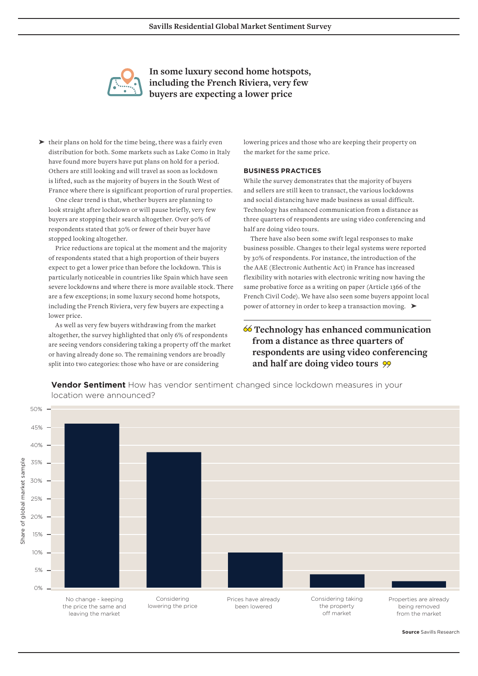

**In some luxury second home hotspots, including the French Riviera, very few buyers are expecting a lower price** 

▶ their plans on hold for the time being, there was a fairly even distribution for both. Some markets such as Lake Como in Italy have found more buyers have put plans on hold for a period. Others are still looking and will travel as soon as lockdown is lifted, such as the majority of buyers in the South West of France where there is significant proportion of rural properties.

One clear trend is that, whether buyers are planning to look straight after lockdown or will pause briefly, very few buyers are stopping their search altogether. Over 90% of respondents stated that 30% or fewer of their buyer have stopped looking altogether.

Price reductions are topical at the moment and the majority of respondents stated that a high proportion of their buyers expect to get a lower price than before the lockdown. This is particularly noticeable in countries like Spain which have seen severe lockdowns and where there is more available stock. There are a few exceptions; in some luxury second home hotspots, including the French Riviera, very few buyers are expecting a lower price.

As well as very few buyers withdrawing from the market altogether, the survey highlighted that only 6% of respondents are seeing vendors considering taking a property off the market or having already done so. The remaining vendors are broadly split into two categories: those who have or are considering

lowering prices and those who are keeping their property on the market for the same price.

#### **BUSINESS PRACTICES**

While the survey demonstrates that the majority of buyers and sellers are still keen to transact, the various lockdowns and social distancing have made business as usual difficult. Technology has enhanced communication from a distance as three quarters of respondents are using video conferencing and half are doing video tours.

There have also been some swift legal responses to make business possible. Changes to their legal systems were reported by 30% of respondents. For instance, the introduction of the the AAE (Electronic Authentic Act) in France has increased flexibility with notaries with electronic writing now having the same probative force as a writing on paper (Article 1366 of the French Civil Code). We have also seen some buyers appoint local power of attorney in order to keep a transaction moving. ▶

#### **Technology has enhanced communication from a distance as three quarters of respondents are using video conferencing and half are doing video tours**

**Vendor Sentiment** How has vendor sentiment changed since lockdown measures in your location were announced?



**Source** Savills Research